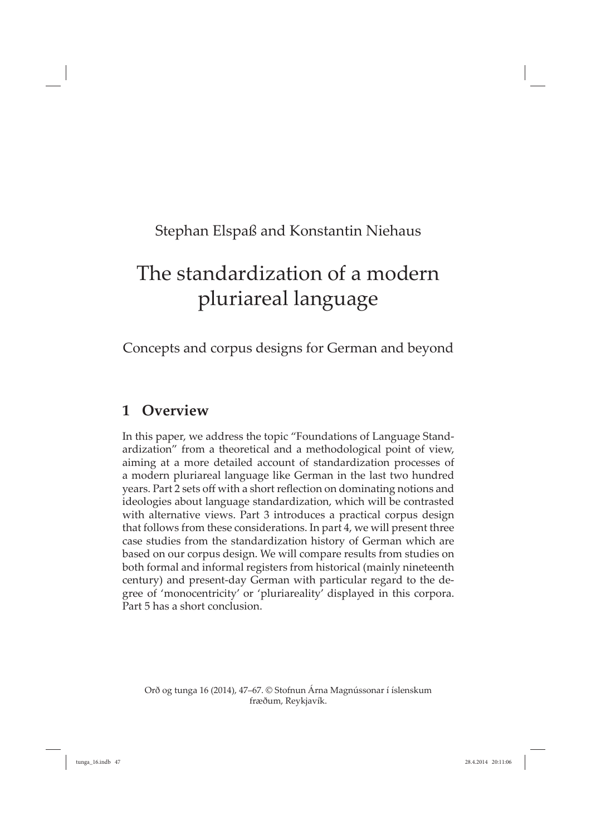# Stephan Elspaß and Konstantin Niehaus

# The standardization of a modern pluriareal language

Concepts and corpus designs for German and beyond

### **1 Overview**

In this paper, we address the topic "Foundations of Language Standardization" from a theoretical and a methodological point of view, aiming at a more detailed account of standardization processes of a modern pluriareal language like German in the last two hundred years. Part 2 sets off with a short reflection on dominating notions and ideologies about language standardization, which will be contrasted with alternative views. Part 3 introduces a practical corpus design that follows from these considerations. In part 4, we will present three case studies from the standardization history of German which are based on our corpus design. We will compare results from studies on both formal and informal registers from historical (mainly nineteenth century) and present-day German with particular regard to the degree of 'monocentricity' or 'pluriareality' displayed in this corpora. Part 5 has a short conclusion.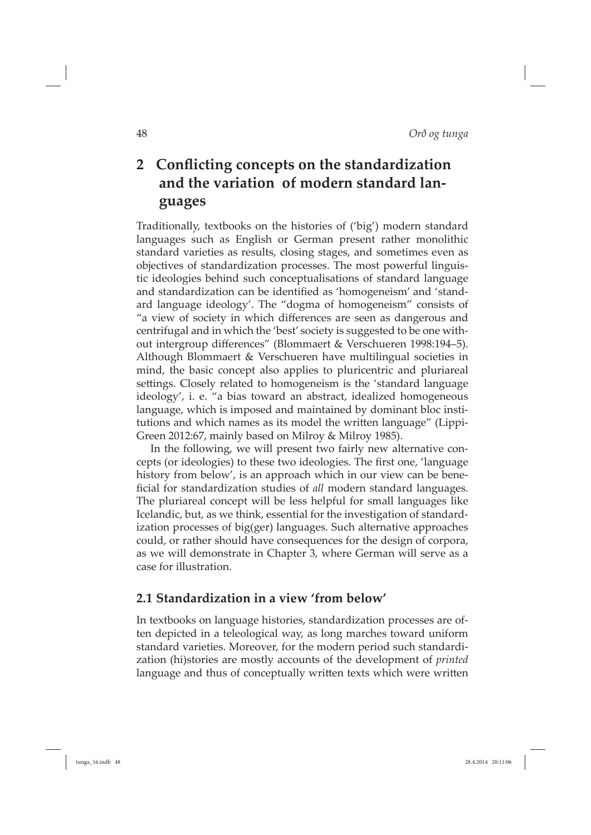## **2** Conflicting concepts on the standardization **and the variation of modern standard languages**

Traditionally, textbooks on the histories of ('big') modern standard languages such as English or German present rather monolithic standard varieties as results, closing stages, and sometimes even as objectives of standardization processes. The most powerful linguistic ideologies behind such conceptualisations of standard language and standardization can be identified as 'homogeneism' and 'standard language ideology'. The "dogma of homogeneism" consists of "a view of society in which differences are seen as dangerous and centrifugal and in which the 'best' society is suggested to be one without intergroup differences" (Blommaert & Verschueren 1998:194-5). Although Blommaert & Verschueren have multilingual societies in mind, the basic concept also applies to pluricentric and pluriareal settings. Closely related to homogeneism is the 'standard language ideology', i. e. "a bias toward an abstract, idealized homogeneous language, which is imposed and maintained by dominant bloc institutions and which names as its model the written language" (Lippi-Green 2012:67, mainly based on Milroy & Milroy 1985).

In the following, we will present two fairly new alternative concepts (or ideologies) to these two ideologies. The first one, 'language history from below', is an approach which in our view can be beneficial for standardization studies of *all* modern standard languages. The pluriareal concept will be less helpful for small languages like Icelandic, but, as we think, essential for the investigation of standardization processes of big(ger) languages. Such alternative approaches could, or rather should have consequences for the design of corpora, as we will demonstrate in Chapter 3, where German will serve as a case for illustration.

#### **2.1 Standardization in a view 'from below'**

In textbooks on language histories, standardization processes are often depicted in a teleological way, as long marches toward uniform standard varieties. Moreover, for the modern period such standardization (hi)stories are mostly accounts of the development of *printed* language and thus of conceptually written texts which were written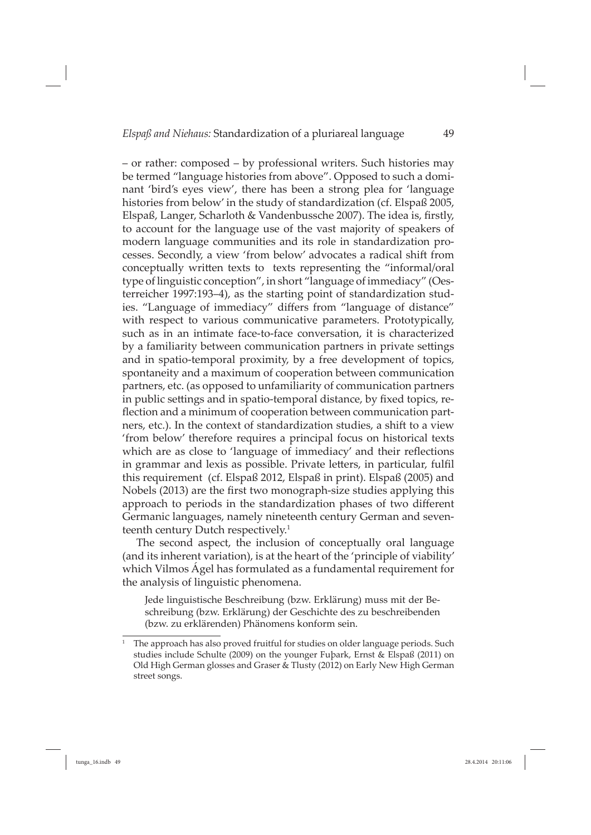– or rather: composed – by professional writers. Such histories may be termed "language histories from above". Opposed to such a dominant 'bird's eyes view', there has been a strong plea for 'language histories from below' in the study of standardization (cf. Elspaß 2005, Elspaß, Langer, Scharloth & Vandenbussche 2007). The idea is, firstly, to account for the language use of the vast majority of speakers of modern language communities and its role in standardization processes. Secondly, a view 'from below' advocates a radical shift from conceptually written texts to texts representing the "informal/oral type of linguistic conception", in short "language of immediacy" (Oesterreicher 1997:193–4), as the starting point of standardization studies. "Language of immediacy" differs from "language of distance" with respect to various communicative parameters. Prototypically, such as in an intimate face-to-face conversation, it is characterized by a familiarity between communication partners in private settings and in spatio-temporal proximity, by a free development of topics, spontaneity and a maximum of cooperation between communication partners, etc. (as opposed to unfamiliarity of communication partners in public settings and in spatio-temporal distance, by fixed topics, reflection and a minimum of cooperation between communication partners, etc.). In the context of standardization studies, a shift to a view 'from below' therefore requires a principal focus on historical texts which are as close to 'language of immediacy' and their reflections in grammar and lexis as possible. Private letters, in particular, fulfil this requirement (cf. Elspaß 2012, Elspaß in print). Elspaß (2005) and Nobels (2013) are the first two monograph-size studies applying this approach to periods in the standardization phases of two different Germanic languages, namely nineteenth century German and seventeenth century Dutch respectively.<sup>1</sup>

The second aspect, the inclusion of conceptually oral language (and its inherent variation), is at the heart of the 'principle of viability' which Vilmos Ágel has formulated as a fundamental requirement for the analysis of linguistic phenomena.

Jede linguistische Beschreibung (bzw. Erklärung) muss mit der Beschreibung (bzw. Erklärung) der Geschichte des zu beschreibenden (bzw. zu erklärenden) Phänomens konform sein.

<sup>1</sup> The approach has also proved fruitful for studies on older language periods. Such studies include Schulte (2009) on the younger Fuþark, Ernst & Elspaß (2011) on Old High German glosses and Graser & Tlusty (2012) on Early New High German street songs.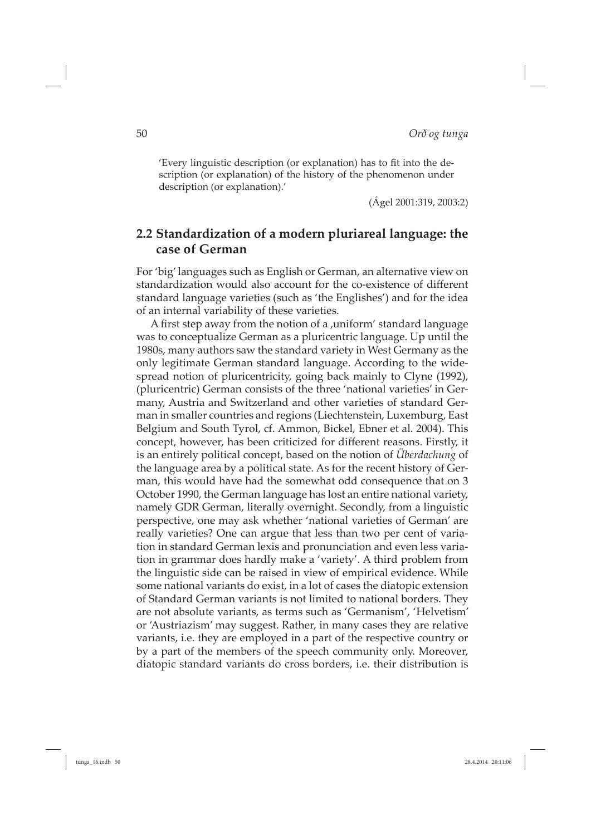'Every linguistic description (or explanation) has to fit into the description (or explanation) of the history of the phenomenon under description (or explanation).'

(Ágel 2001:319, 2003:2)

#### **2.2 Standardization of a modern pluriareal language: the case of German**

For 'big' languages such as English or German, an alternative view on standardization would also account for the co-existence of different standard language varieties (such as 'the Englishes') and for the idea of an internal variability of these varieties.

A first step away from the notion of a , uniform' standard language was to conceptualize German as a pluricentric language. Up until the 1980s, many authors saw the standard variety in West Germany as the only legitimate German standard language. According to the widespread notion of pluricentricity, going back mainly to Clyne (1992), (pluricentric) German consists of the three 'national varieties' in Germany, Austria and Switzerland and other varieties of standard German in smaller countries and regions (Liechtenstein, Luxemburg, East Belgium and South Tyrol, cf. Ammon, Bickel, Ebner et al. 2004). This concept, however, has been criticized for different reasons. Firstly, it is an entirely political concept, based on the notion of *Überdachung* of the language area by a political state. As for the recent history of German, this would have had the somewhat odd consequence that on 3 October 1990, the German language has lost an entire national variety, namely GDR German, literally overnight. Secondly, from a linguistic perspective, one may ask whether 'national varieties of German' are really varieties? One can argue that less than two per cent of variation in standard German lexis and pronunciation and even less variation in grammar does hardly make a 'variety'. A third problem from the linguistic side can be raised in view of empirical evidence. While some national variants do exist, in a lot of cases the diatopic extension of Standard German variants is not limited to national borders. They are not absolute variants, as terms such as 'Germanism', 'Helvetism' or 'Austriazism' may suggest. Rather, in many cases they are relative variants, i.e. they are employed in a part of the respective country or by a part of the members of the speech community only. Moreover, diatopic standard variants do cross borders, i.e. their distribution is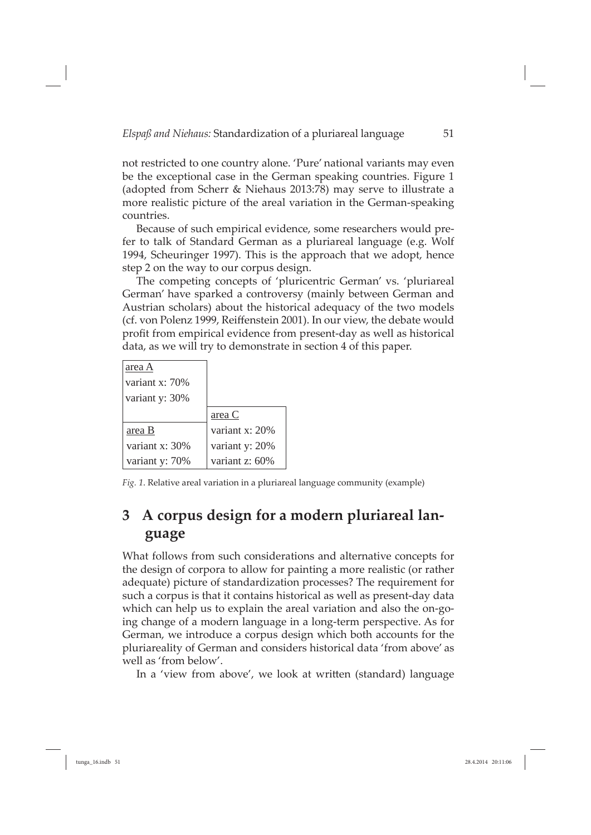not restricted to one country alone. 'Pure' national variants may even be the exceptional case in the German speaking countries. Figure 1 (adopted from Scherr & Niehaus 2013:78) may serve to illustrate a more realistic picture of the areal variation in the German-speaking countries.

Because of such empirical evidence, some researchers would prefer to talk of Standard German as a pluriareal language (e.g. Wolf 1994, Scheuringer 1997). This is the approach that we adopt, hence step 2 on the way to our corpus design.

The competing concepts of 'pluricentric German' vs. 'pluriareal German' have sparked a controversy (mainly between German and Austrian scholars) about the historical adequacy of the two models (cf. von Polenz 1999, Reiffenstein 2001). In our view, the debate would profit from empirical evidence from present-day as well as historical data, as we will try to demonstrate in section 4 of this paper.

| area A          |                  |
|-----------------|------------------|
| variant $x:70%$ |                  |
| variant y: 30%  |                  |
|                 | area C           |
| area B          | variant x: 20%   |
| variant x: 30%  | variant y: 20%   |
| variant y: 70%  | variant $z:60\%$ |

*Fig. 1*. Relative areal variation in a pluriareal language community (example)

## **3 A corpus design for a modern pluriareal language**

What follows from such considerations and alternative concepts for the design of corpora to allow for painting a more realistic (or rather adequate) picture of standardization processes? The requirement for such a corpus is that it contains historical as well as present-day data which can help us to explain the areal variation and also the on-going change of a modern language in a long-term perspective. As for German, we introduce a corpus design which both accounts for the pluriareality of German and considers historical data 'from above' as well as 'from below'.

In a 'view from above', we look at written (standard) language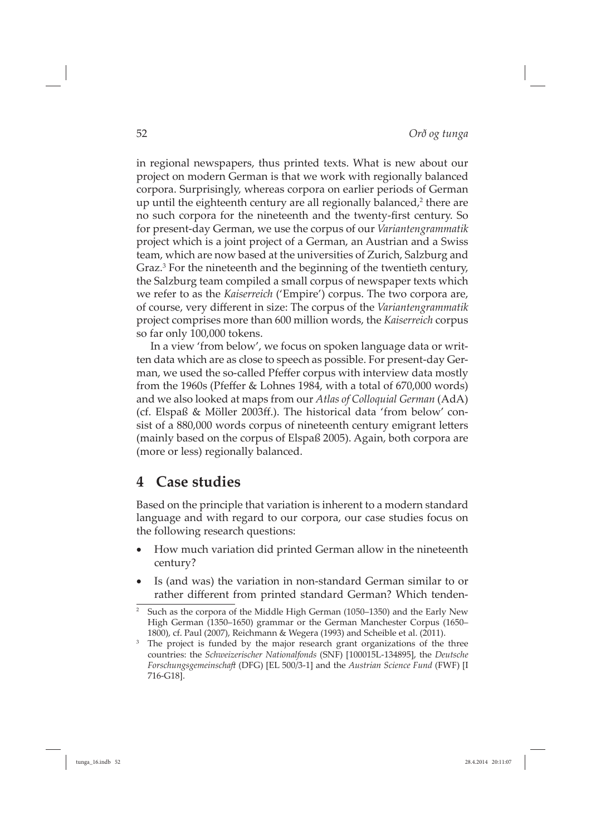in regional newspapers, thus printed texts. What is new about our project on modern German is that we work with regionally balanced corpora. Surprisingly, whereas corpora on earlier periods of German up until the eighteenth century are all regionally balanced, $2$  there are no such corpora for the nineteenth and the twenty-first century. So for present-day German, we use the corpus of our *Variantengrammatik* project which is a joint project of a German, an Austrian and a Swiss team, which are now based at the universities of Zurich, Salzburg and Graz.<sup>3</sup> For the nineteenth and the beginning of the twentieth century, the Salzburg team compiled a small corpus of newspaper texts which we refer to as the *Kaiserreich* ('Empire') corpus. The two corpora are, of course, very different in size: The corpus of the *Variantengrammatik* project comprises more than 600 million words, the *Kaiserreich* corpus so far only 100,000 tokens.

In a view 'from below', we focus on spoken language data or written data which are as close to speech as possible. For present-day German, we used the so-called Pfeffer corpus with interview data mostly from the 1960s (Pfeffer & Lohnes 1984, with a total of  $670,000$  words) and we also looked at maps from our *Atlas of Colloquial German* (AdA) (cf. Elspaß & Möller 2003ff.). The historical data 'from below' consist of a 880,000 words corpus of nineteenth century emigrant letters (mainly based on the corpus of Elspaß 2005). Again, both corpora are (more or less) regionally balanced.

### **4 Case studies**

Based on the principle that variation is inherent to a modern standard language and with regard to our corpora, our case studies focus on the following research questions:

- How much variation did printed German allow in the nineteenth century?
- Is (and was) the variation in non-standard German similar to or rather different from printed standard German? Which tenden-

 $2$  Such as the corpora of the Middle High German (1050–1350) and the Early New High German (1350–1650) grammar or the German Manchester Corpus (1650– 1800), cf. Paul (2007), Reichmann & Wegera (1993) and Scheible et al. (2011).

<sup>&</sup>lt;sup>3</sup> The project is funded by the major research grant organizations of the three countries: the *Schweizerischer Nationalfonds* (SNF) [100015L-134895], the *Deutsche Forschungsgemeinschaft* (DFG) [EL 500/3-1] and the *Austrian Science Fund* (FWF) [I 716-G18].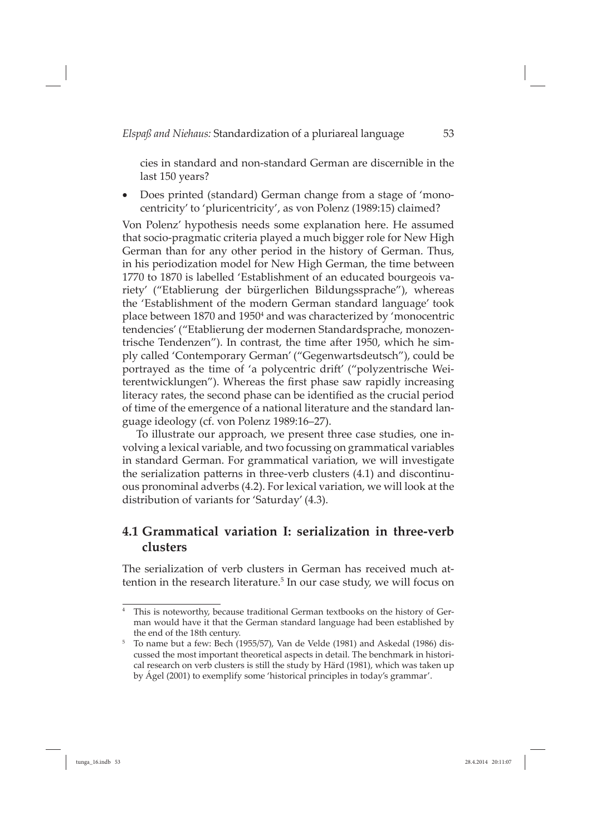cies in standard and non-standard German are discernible in the last 150 years?

• Does printed (standard) German change from a stage of 'monocentricity' to 'pluricentricity', as von Polenz (1989:15) claimed?

Von Polenz' hypothesis needs some explanation here. He assumed that socio-pragmatic criteria played a much bigger role for New High German than for any other period in the history of German. Thus, in his periodization model for New High German, the time between 1770 to 1870 is labelled 'Establishment of an educated bourgeois variety' ("Etablierung der bürgerlichen Bildungssprache"), whereas the 'Establishment of the modern German standard language' took place between 1870 and 1950<sup>4</sup> and was characterized by 'monocentric tendencies' ("Etablierung der modernen Standardsprache, monozentrische Tendenzen"). In contrast, the time after 1950, which he simply called 'Contemporary German' ("Gegenwartsdeutsch"), could be portrayed as the time of 'a polycentric drift' ("polyzentrische Weiterentwicklungen"). Whereas the first phase saw rapidly increasing literacy rates, the second phase can be identified as the crucial period of time of the emergence of a national literature and the standard language ideology (cf. von Polenz 1989:16–27).

To illustrate our approach, we present three case studies, one involving a lexical variable, and two focussing on grammatical variables in standard German. For grammatical variation, we will investigate the serialization patterns in three-verb clusters  $(4.1)$  and discontinuous pronominal adverbs (4.2). For lexical variation, we will look at the distribution of variants for 'Saturday' (4.3).

#### **4.1 Grammatical variation I: serialization in three-verb clusters**

The serialization of verb clusters in German has received much attention in the research literature.5 In our case study, we will focus on

<sup>4</sup> This is noteworthy, because traditional German textbooks on the history of German would have it that the German standard language had been established by the end of the 18th century.

<sup>5</sup> To name but a few: Bech (1955/57), Van de Velde (1981) and Askedal (1986) discussed the most important theoretical aspects in detail. The benchmark in historical research on verb clusters is still the study by Härd (1981), which was taken up by Ágel (2001) to exemplify some 'historical principles in today's grammar'.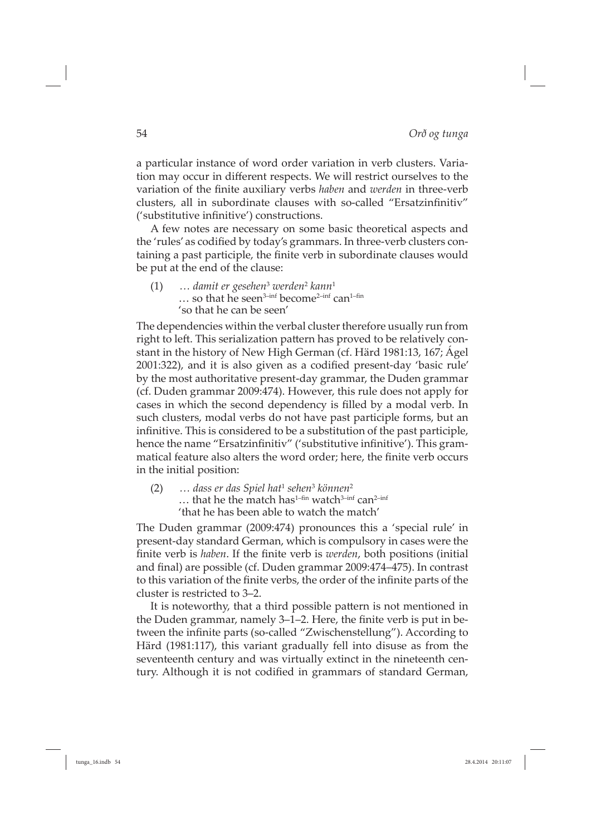a particular instance of word order variation in verb clusters. Variation may occur in different respects. We will restrict ourselves to the variation of the finite auxiliary verbs *haben* and *werden* in three-verb clusters, all in subordinate clauses with so-called "Ersatzinfinitiv" ('substitutive infinitive') constructions.

A few notes are necessary on some basic theoretical aspects and the 'rules' as codified by today's grammars. In three-verb clusters containing a past participle, the finite verb in subordinate clauses would be put at the end of the clause:

(1) *… damit er gesehen*<sup>3</sup>  *werden*<sup>2</sup> *kann*<sup>1</sup> ... so that he seen<sup>3-inf</sup> become<sup>2-inf</sup> can<sup>1-fin</sup> 'so that he can be seen'

The dependencies within the verbal cluster therefore usually run from right to left. This serialization pattern has proved to be relatively constant in the history of New High German (cf. Härd 1981:13, 167; Ágel 2001:322), and it is also given as a codified present-day 'basic rule' by the most authoritative present-day grammar, the Duden grammar (cf. Duden grammar 2009:474). However, this rule does not apply for cases in which the second dependency is filled by a modal verb. In such clusters, modal verbs do not have past participle forms, but an infinitive. This is considered to be a substitution of the past participle, hence the name "Ersatzinfinitiv" ('substitutive infinitive'). This grammatical feature also alters the word order; here, the finite verb occurs in the initial position:

(2) *… dass er das Spiel hat*<sup>1</sup> *sehen*<sup>3</sup> *können*<sup>2</sup>  $\ldots$  that he the match has<sup>1-fin</sup> watch<sup>3-inf</sup> can<sup>2-inf</sup> 'that he has been able to watch the match'

The Duden grammar (2009:474) pronounces this a 'special rule' in present-day standard German, which is compulsory in cases were the finite verb is *haben*. If the finite verb is *werden*, both positions (initial and final) are possible (cf. Duden grammar 2009:474–475). In contrast to this variation of the finite verbs, the order of the infinite parts of the cluster is restricted to 3–2.

It is noteworthy, that a third possible pattern is not mentioned in the Duden grammar, namely 3–1–2. Here, the finite verb is put in between the infinite parts (so-called "Zwischenstellung"). According to Härd (1981:117), this variant gradually fell into disuse as from the seventeenth century and was virtually extinct in the nineteenth century. Although it is not codified in grammars of standard German,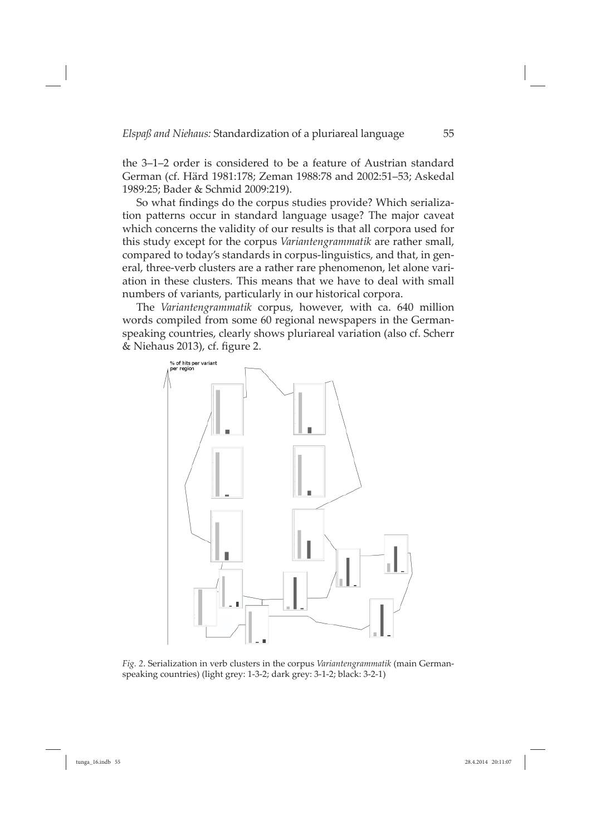the 3–1–2 order is considered to be a feature of Austrian standard German (cf. Härd 1981:178; Zeman 1988:78 and 2002:51–53; Askedal 1989:25; Bader & Schmid 2009:219).

So what findings do the corpus studies provide? Which serialization patterns occur in standard language usage? The major caveat which concerns the validity of our results is that all corpora used for this study except for the corpus *Variantengrammatik* are rather small, compared to today's standards in corpus-linguistics, and that, in general, three-verb clusters are a rather rare phenomenon, let alone variation in these clusters. This means that we have to deal with small numbers of variants, particularly in our historical corpora.

The *Variantengrammatik* corpus, however, with ca. 640 million words compiled from some 60 regional newspapers in the Germanspeaking countries, clearly shows pluriareal variation (also cf. Scherr  $&$  Niehaus 2013), cf. figure 2.



*Fig. 2*. Serialization in verb clusters in the corpus *Variantengrammatik* (main Germanspeaking countries) (light grey: 1-3-2; dark grey: 3-1-2; black: 3-2-1)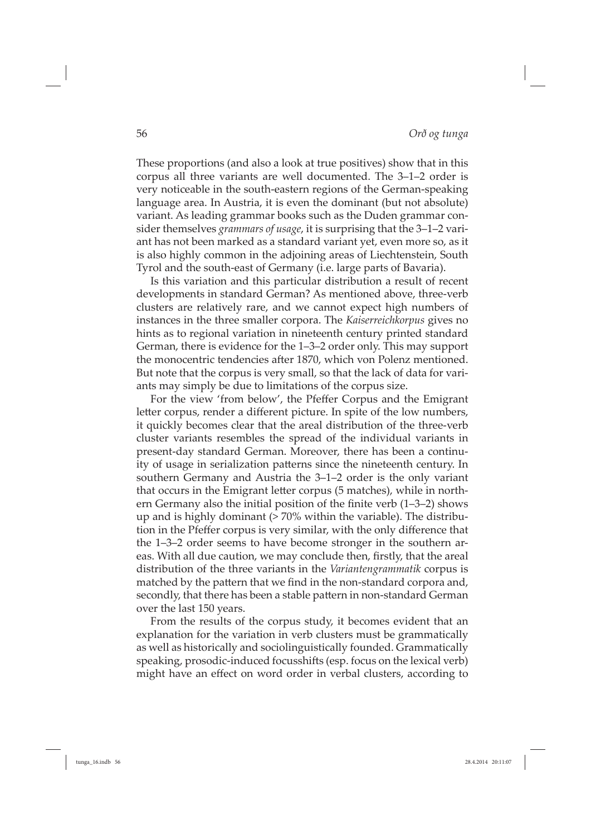These proportions (and also a look at true positives) show that in this corpus all three variants are well documented. The 3–1–2 order is very noticeable in the south-eastern regions of the German-speaking language area. In Austria, it is even the dominant (but not absolute) variant. As leading grammar books such as the Duden grammar consider themselves *grammars of usage*, it is surprising that the 3–1–2 variant has not been marked as a standard variant yet, even more so, as it is also highly common in the adjoining areas of Liechtenstein, South Tyrol and the south-east of Germany (i.e. large parts of Bavaria).

Is this variation and this particular distribution a result of recent developments in standard German? As mentioned above, three-verb clusters are relatively rare, and we cannot expect high numbers of instances in the three smaller corpora. The *Kaiserreichkorpus* gives no hints as to regional variation in nineteenth century printed standard German, there is evidence for the 1–3–2 order only. This may support the monocentric tendencies after 1870, which von Polenz mentioned. But note that the corpus is very small, so that the lack of data for variants may simply be due to limitations of the corpus size.

For the view 'from below', the Pfeffer Corpus and the Emigrant letter corpus, render a different picture. In spite of the low numbers, it quickly becomes clear that the areal distribution of the three-verb cluster variants resembles the spread of the individual variants in present-day standard German. Moreover, there has been a continuity of usage in serialization patterns since the nineteenth century. In southern Germany and Austria the 3–1–2 order is the only variant that occurs in the Emigrant letter corpus (5 matches), while in northern Germany also the initial position of the finite verb  $(1-3-2)$  shows up and is highly dominant (> 70% within the variable). The distribution in the Pfeffer corpus is very similar, with the only difference that the 1–3–2 order seems to have become stronger in the southern areas. With all due caution, we may conclude then, firstly, that the areal distribution of the three variants in the *Variantengrammatik* corpus is matched by the pattern that we find in the non-standard corpora and, secondly, that there has been a stable pattern in non-standard German over the last 150 years.

From the results of the corpus study, it becomes evident that an explanation for the variation in verb clusters must be grammatically as well as historically and sociolinguistically founded. Grammatically speaking, prosodic-induced focusshifts (esp. focus on the lexical verb) might have an effect on word order in verbal clusters, according to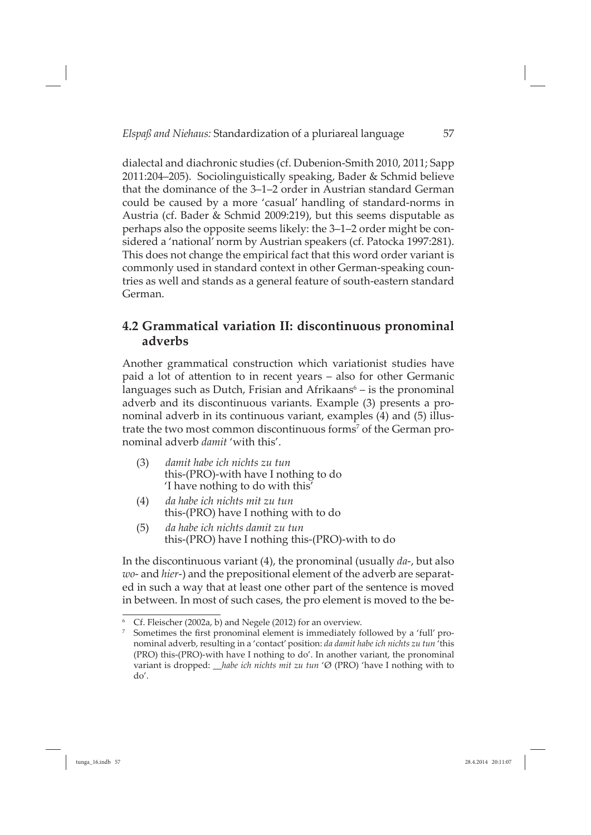dialectal and diachronic studies (cf. Dubenion-Smith 2010, 2011; Sapp 2011:204–205). Sociolinguistically speaking, Bader & Schmid believe that the dominance of the 3–1–2 order in Austrian standard German could be caused by a more 'casual' handling of standard-norms in Austria (cf. Bader & Schmid 2009:219), but this seems disputable as perhaps also the opposite seems likely: the 3–1–2 order might be considered a 'national' norm by Austrian speakers (cf. Patocka 1997:281). This does not change the empirical fact that this word order variant is commonly used in standard context in other German-speaking countries as well and stands as a general feature of south-eastern standard German.

#### **4.2 Grammatical variation II: discontinuous pronominal adverbs**

Another grammatical construction which variationist studies have paid a lot of attention to in recent years – also for other Germanic languages such as Dutch, Frisian and Afrikaans<sup>6</sup> – is the pronominal adverb and its discontinuous variants. Example (3) presents a pronominal adverb in its continuous variant, examples (4) and (5) illustrate the two most common discontinuous forms<sup>7</sup> of the German pronominal adverb *damit* 'with this'.

- (3) *damit habe ich nichts zu tun* this-(PRO)-with have I nothing to do 'I have nothing to do with this'
- (4) *da habe ich nichts mit zu tun* this-(PRO) have I nothing with to do
- (5) *da habe ich nichts damit zu tun* this-(PRO) have I nothing this-(PRO)-with to do

In the discontinuous variant (4), the pronominal (usually *da*-, but also *wo*- and *hier*-) and the prepositional element of the adverb are separated in such a way that at least one other part of the sentence is moved in between. In most of such cases, the pro element is moved to the be-

<sup>6</sup> Cf. Fleischer (2002a, b) and Negele (2012) for an overview.

 $7$  Sometimes the first pronominal element is immediately followed by a 'full' pronominal adverb, resulting in a 'contact' position: *da damit habe ich nichts zu tun* 'this (PRO) this-(PRO)-with have I nothing to do'. In another variant, the pronominal variant is dropped: \_\_*habe ich nichts mit zu tun* 'Ø (PRO) 'have I nothing with to do'.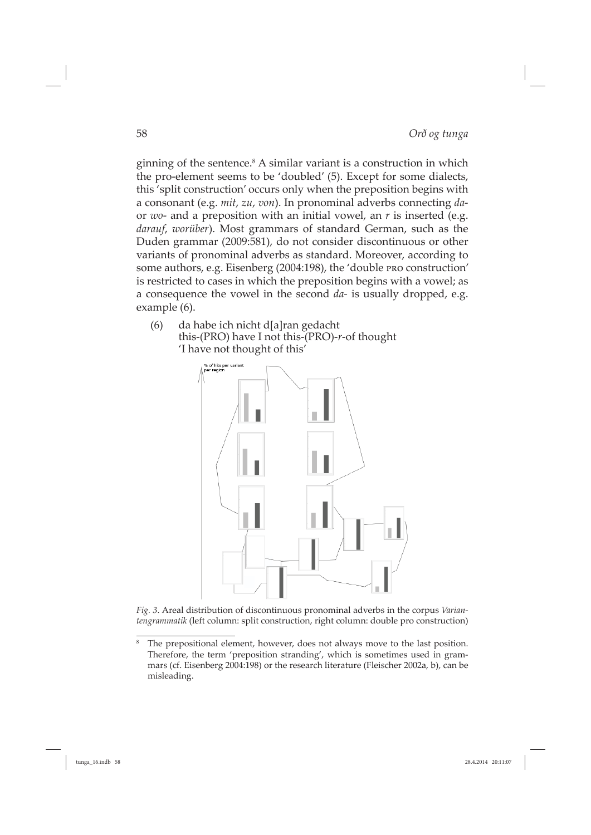ginning of the sentence.<sup>8</sup> A similar variant is a construction in which the pro-element seems to be 'doubled' (5). Except for some dialects, this 'split construction' occurs only when the preposition begins with a consonant (e.g. *mit*, *zu*, *von*). In pronominal adverbs connecting *da*or *wo*- and a preposition with an initial vowel, an *r* is inserted (e.g. *darauf*, *worüber*). Most grammars of standard German, such as the Duden grammar (2009:581), do not consider discontinuous or other variants of pronominal adverbs as standard. Moreover, according to some authors, e.g. Eisenberg (2004:198), the 'double pro construction' is restricted to cases in which the preposition begins with a vowel; as a consequence the vowel in the second *da-* is usually dropped, e.g. example (6).

(6) da habe ich nicht d[a]ran gedacht this-(PRO) have I not this-(PRO)-*r*-of thought 'I have not thought of this'



*Fig. 3*. Areal distribution of discontinuous pronominal adverbs in the corpus *Variantengrammatik* (left column: split construction, right column: double pro construction)

<sup>8</sup> The prepositional element, however, does not always move to the last position. Therefore, the term 'preposition stranding', which is sometimes used in grammars (cf. Eisenberg 2004:198) or the research literature (Fleischer 2002a, b), can be misleading.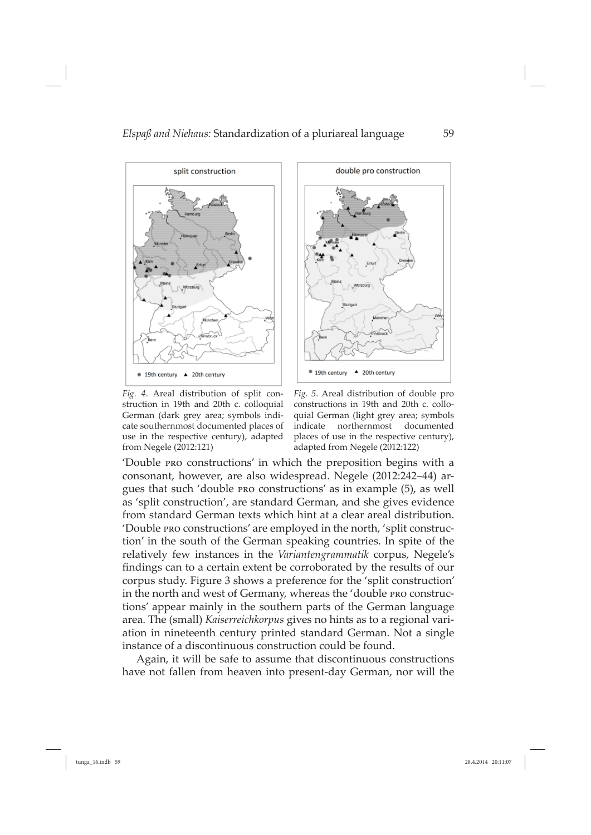

*Fig. 4*. Areal distribution of split construction in 19th and 20th c. colloquial German (dark grey area; symbols indicate southernmost documented places of use in the respective century), adapted from Negele (2012:121)



*Fig. 5*. Areal distribution of double pro constructions in 19th and 20th c. colloquial German (light grey area; symbols indicate northernmost documented places of use in the respective century), adapted from Negele (2012:122)

'Double pro constructions' in which the preposition begins with a consonant, however, are also widespread. Negele (2012:242–44) argues that such 'double pro constructions' as in example (5), as well as 'split construction', are standard German, and she gives evidence from standard German texts which hint at a clear areal distribution. 'Double pro constructions' are employed in the north, 'split construction' in the south of the German speaking countries. In spite of the relatively few instances in the *Variantengrammatik* corpus, Negele's findings can to a certain extent be corroborated by the results of our corpus study. Figure 3 shows a preference for the 'split construction' in the north and west of Germany, whereas the 'double pro constructions' appear mainly in the southern parts of the German language area. The (small) *Kaiserreichkorpus* gives no hints as to a regional variation in nineteenth century printed standard German. Not a single instance of a discontinuous construction could be found.

Again, it will be safe to assume that discontinuous constructions have not fallen from heaven into present-day German, nor will the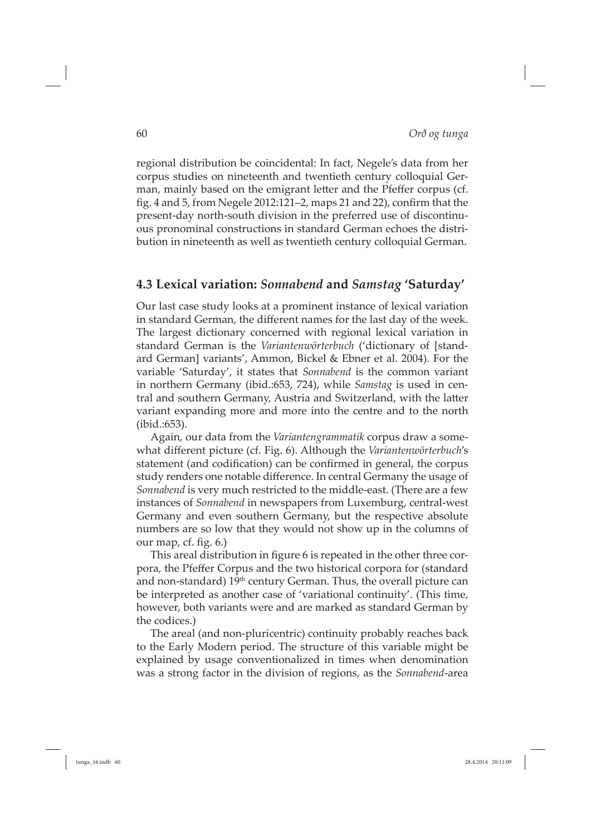regional distribution be coincidental: In fact, Negele's data from her corpus studies on nineteenth and twentieth century colloquial German, mainly based on the emigrant letter and the Pfeffer corpus (cf. fig. 4 and 5, from Negele 2012:121–2, maps 21 and 22), confirm that the present-day north-south division in the preferred use of discontinuous pronominal constructions in standard German echoes the distribution in nineteenth as well as twentieth century colloquial German.

#### **4.3 Lexical variation:** *Sonnabend* **and** *Samstag* **'Saturday'**

Our last case study looks at a prominent instance of lexical variation in standard German, the different names for the last day of the week. The largest dictionary concerned with regional lexical variation in standard German is the *Variantenwörterbuch* ('dictionary of [standard German] variants', Ammon, Bickel & Ebner et al. 2004). For the variable 'Saturday', it states that *Sonnabend* is the common variant in northern Germany (ibid.:653, 724), while *Samstag* is used in central and southern Germany, Austria and Switzerland, with the latter variant expanding more and more into the centre and to the north (ibid.:653).

Again, our data from the *Variantengrammatik* corpus draw a somewhat different picture (cf. Fig. 6). Although the *Variantenwörterbuch's* statement (and codification) can be confirmed in general, the corpus study renders one notable difference. In central Germany the usage of *Sonnabend* is very much restricted to the middle-east. (There are a few instances of *Sonnabend* in newspapers from Luxemburg, central-west Germany and even southern Germany, but the respective absolute numbers are so low that they would not show up in the columns of our map, cf. fig.  $6.$ )

This areal distribution in figure 6 is repeated in the other three corpora, the Pfeffer Corpus and the two historical corpora for (standard and non-standard)  $19<sup>th</sup>$  century German. Thus, the overall picture can be interpreted as another case of 'variational continuity'. (This time, however, both variants were and are marked as standard German by the codices.)

The areal (and non-pluricentric) continuity probably reaches back to the Early Modern period. The structure of this variable might be explained by usage conventionalized in times when denomination was a strong factor in the division of regions, as the *Sonnabend*-area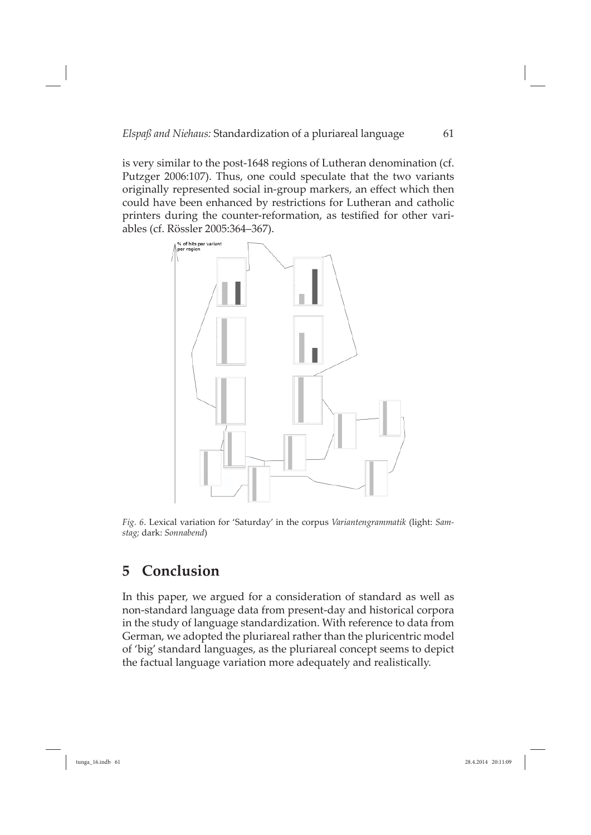is very similar to the post-1648 regions of Lutheran denomination (cf. Putzger 2006:107). Thus, one could speculate that the two variants originally represented social in-group markers, an effect which then could have been enhanced by restrictions for Lutheran and catholic printers during the counter-reformation, as testified for other variables (cf. Rössler 2005:364–367).



*Fig. 6*. Lexical variation for 'Saturday' in the corpus *Variantengrammatik* (light: *Samstag;* dark: *Sonnabend*)

### **5 Conclusion**

In this paper, we argued for a consideration of standard as well as non-standard language data from present-day and historical corpora in the study of language standardization. With reference to data from German, we adopted the pluriareal rather than the pluricentric model of 'big' standard languages, as the pluriareal concept seems to depict the factual language variation more adequately and realistically.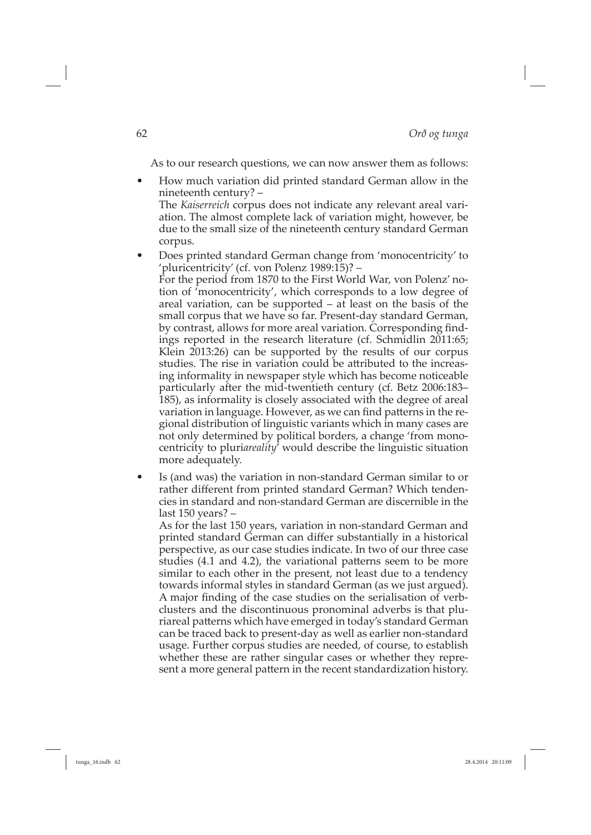As to our research questions, we can now answer them as follows:

- How much variation did printed standard German allow in the nine teenth century? -The *Kaiserreich* corpus does not indicate any relevant areal variation. The almost complete lack of variation might, however, be due to the small size of the nineteenth century standard German corpus.
- Does printed standard German change from 'monocentricity' to 'pluri centricity' (cf. von Polenz 1989:15)? – For the period from 1870 to the First World War, von Polenz' notion of 'monocentricity', which corresponds to a low degree of areal variation, can be supported – at least on the basis of the small corpus that we have so far. Present-day standard German, by contrast, allows for more areal variation. Corresponding findings reported in the research literature (cf. Schmidlin 2011:65; Klein 2013:26) can be supported by the results of our corpus studies. The rise in variation could be attributed to the increasing informality in newspaper style which has become noticeable particularly after the mid-twentieth century (cf. Betz 2006:183– 185), as informality is closely associated with the degree of areal variation in language. However, as we can find patterns in the regional distribution of linguistic variants which in many cases are not only determined by political borders, a change 'from monocentricity to pluri*areality*' would describe the linguistic situation more adequately.
- Is (and was) the variation in non-standard German similar to or rather different from printed standard German? Which tendencies in standard and non-standard German are discernible in the last 150 years? –

As for the last 150 years, variation in non-standard German and printed standard German can differ substantially in a historical perspective, as our case studies indicate. In two of our three case studies (4.1 and 4.2), the variational patterns seem to be more similar to each other in the present, not least due to a tendency towards informal styles in standard German (as we just argued). A major finding of the case studies on the serialisation of verbclusters and the discontinuous pronominal adverbs is that pluriareal patterns which have emerged in today's standard German can be traced back to present-day as well as earlier non-standard usage. Further corpus studies are needed, of course, to establish whether these are rather singular cases or whether they represent a more general pattern in the recent standardization history.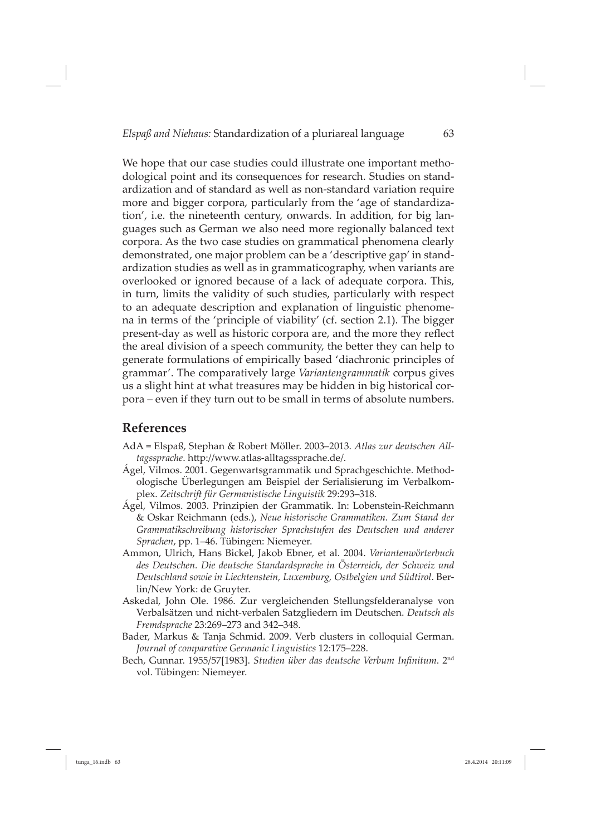We hope that our case studies could illustrate one important methodological point and its consequences for research. Studies on standardization and of standard as well as non-standard variation require more and bigger corpora, particularly from the 'age of standardization', i.e. the nineteenth century, onwards. In addition, for big languages such as German we also need more regionally balanced text corpora. As the two case studies on grammatical phenomena clearly demonstrated, one major problem can be a 'descriptive gap' in standardization studies as well as in grammaticography, when variants are overlooked or ignored because of a lack of adequate corpora. This, in turn, limits the validity of such studies, particularly with respect to an adequate description and explanation of linguistic phenomena in terms of the 'principle of viability' (cf. section 2.1). The bigger present-day as well as historic corpora are, and the more they reflect the areal division of a speech community, the better they can help to generate formulations of empirically based 'diachronic principles of grammar'. The comparatively large *Variantengrammatik* corpus gives us a slight hint at what treasures may be hidden in big historical corpora – even if they turn out to be small in terms of absolute numbers.

#### **References**

- AdA = Elspaß, Stephan & Robert Möller. 2003–2013. *Atlas zur deutschen All*tagssprache. http://www.atlas-alltagssprache.de/.
- Ágel, Vilmos. 2001. Gegenwartsgrammatik und Sprachgeschichte. Methodologische Überlegungen am Beispiel der Serialisierung im Verbalkomplex. *Zeitschrift für Germanistische Linguistik* 29:293–318.
- Ágel, Vilmos. 2003. Prinzipien der Grammatik. In: Lobenstein-Reichmann & Oskar Reichmann (eds.), *Neue historische Grammatiken. Zum Stand der Grammatikschreibung historischer Sprachstufen des Deutschen und anderer Sprachen*, pp. 1–46. Tübingen: Niemeyer.
- Ammon, Ulrich, Hans Bickel, Jakob Ebner, et al. 2004. *Variantenwörterbuch des Deutschen. Die deutsche Standardsprache in Österreich, der Schweiz und Deutschland sowie in Liechtenstein, Luxemburg, Ostbelgien und Südtirol*. Berlin/New York: de Gruyter.
- Askedal, John Ole. 1986. Zur vergleichenden Stellungsfelderanalyse von Verbalsätzen und nicht-verbalen Satzgliedern im Deutschen. *Deutsch als Fremdsprache* 23:269–273 and 342–348.
- Bader, Markus & Tanja Schmid. 2009. Verb clusters in colloquial German. *Journal of comparative Germanic Linguistics* 12:175–228.
- Bech, Gunnar. 1955/57[1983]. *Studien über das deutsche Verbum Infinitum*. 2<sup>nd</sup> vol. Tübingen: Niemeyer.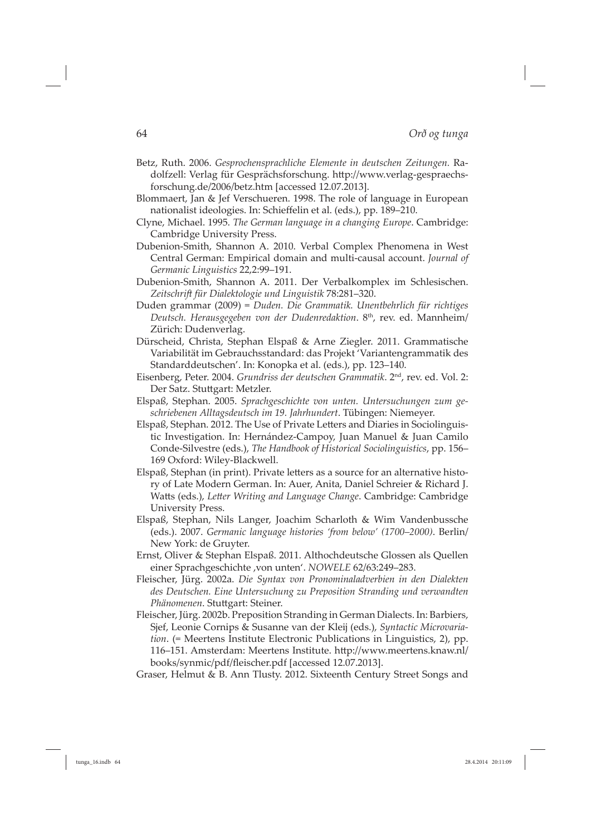- Betz, Ruth. 2006. *Gesprochensprachliche Elemente in deutschen Zeitungen.* Radolfzell: Verlag für Gesprächsforschung. http://www.verlag-gespraechsforschung.de/2006/betz.htm [accessed 12.07.2013].
- Blommaert, Jan & Jef Verschueren. 1998. The role of language in European nationalist ideologies. In: Schieffelin et al. (eds.), pp. 189–210.
- Clyne, Michael. 1995. *The German language in a changing Europe*. Cambridge: Cambridge University Press.
- Dubenion-Smith, Shannon A. 2010. Verbal Complex Phenomena in West Central German: Empirical domain and multi-causal account. *Journal of Germanic Linguistics* 22,2:99–191.
- Dubenion-Smith, Shannon A. 2011. Der Verbalkomplex im Schlesischen. *Zeitschrift für Dialektologie und Linguistik* 78:281–320.
- Duden grammar (2009) = *Duden. Die Grammatik. Unentbehrlich für richtiges*  Deutsch. Herausgegeben von der Dudenredaktion. 8<sup>th</sup>, rev. ed. Mannheim/ Zürich: Dudenverlag.
- Dürscheid, Christa, Stephan Elspaß & Arne Ziegler. 2011. Grammatische Variabilität im Gebrauchsstandard: das Projekt 'Variantengrammatik des Standarddeutschen'. In: Konopka et al. (eds.), pp. 123-140.
- Eisenberg, Peter. 2004. *Grundriss der deutschen Grammatik*. 2nd, rev. ed. Vol. 2: Der Satz. Stuttgart: Metzler.
- Elspaß, Stephan. 2005. *Sprachgeschichte von unten. Untersuchungen zum geschriebenen Alltagsdeutsch im 19. Jahrhundert*. Tübingen: Niemeyer.
- Elspaß, Stephan. 2012. The Use of Private Letters and Diaries in Sociolinguistic Investigation. In: Hernández-Campoy, Juan Manuel & Juan Camilo Conde-Silvestre (eds.), *The Hand book of Historical Sociolinguistics*, pp. 156– 169 Oxford: Wiley-Blackwell.
- Elspaß, Stephan (in print). Private letters as a source for an alternative history of Late Modern German. In: Auer, Anita, Daniel Schreier & Richard J. Watts (eds.), Letter Writing and Language Change. Cambridge: Cambridge University Press.
- Elspaß, Stephan, Nils Langer, Joachim Scharloth & Wim Vandenbussche (eds.). 2007. *Germanic language histories 'from below' (1700–2000)*. Berlin/ New York: de Gruyter.
- Ernst, Oliver & Stephan Elspaß. 2011. Althochdeutsche Glossen als Quellen einer Sprachgeschichte , von unten'. *NOWELE* 62/63:249-283.
- Fleischer, Jürg. 2002a. *Die Syntax von Pronominaladverbien in den Dialekten des Deutschen. Eine Untersuchung zu Preposition Stranding und ver wandten*  Phänomenen. Stuttgart: Steiner.
- Fleischer, Jürg. 2002b. Preposition Stranding in German Dialects. In: Barbiers, Sjef, Leonie Cornips & Susanne van der Kleij (eds.), *Syntactic Microvariation*. (= Meertens Institute Electronic Publications in Linguistics, 2), pp. 116–151. Amsterdam: Meertens Institute. http://www.meertens.knaw.nl/ books/synmic/pdf/fleischer.pdf [accessed 12.07.2013].
- Graser, Helmut & B. Ann Tlusty. 2012. Sixteenth Century Street Songs and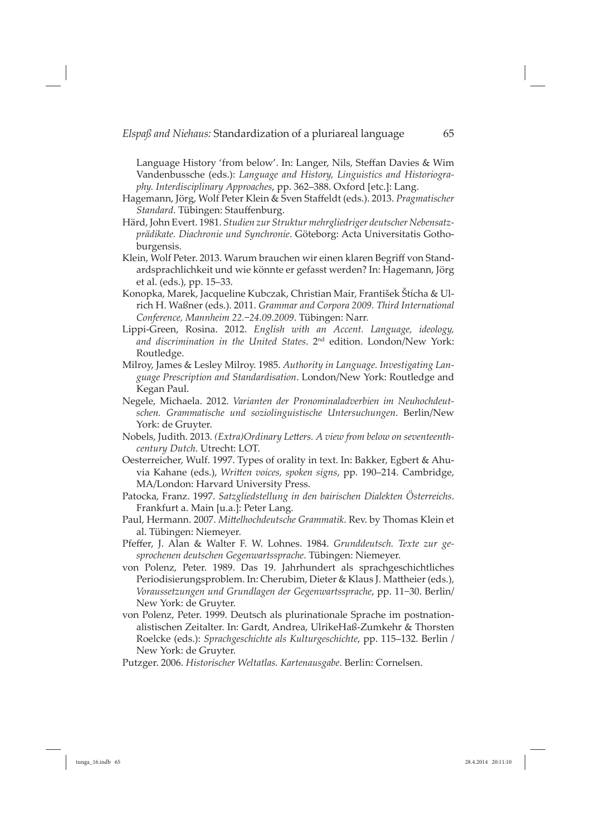Language History 'from below'. In: Langer, Nils, Steffan Davies & Wim Vandenbussche (eds.): *Language and History, Linguistics and Historiography. Interdisciplinary Approaches*, pp. 362–388. Oxford [etc.]: Lang.

- Hagemann, Jörg, Wolf Peter Klein & Sven Staffeldt (eds.). 2013. *Pragmatischer Standard*. Tübingen: Stauffenburg.
- Härd, John Evert. 1981. *Studien zur Struktur mehrgliedriger deutscher Nebensatzprädikate. Diachronie und Synchronie*. Göteborg: Acta Universitatis Gothoburgensis.
- Klein, Wolf Peter. 2013. Warum brauchen wir einen klaren Begriff von Standardsprachlichkeit und wie könnte er gefasst werden? In: Hagemann, Jörg et al. (eds.), pp. 15–33.
- Konop ka, Marek, Jacqueline Kubczak, Christian Mair, František Štícha & Ulrich H. Waß ner (eds.). 2011. *Grammar and Corpora 2009. Third International Conference, Mannheim 22.*−*24.09.2009*. Tübingen: Narr.
- Lippi-Green, Rosina. 2012. *English with an Accent. Language, ideology, and discrimination in the United States*. 2nd edition. London/New York: Routledge.
- Milroy, James & Lesley Milroy. 1985. *Authority in Language. Investigating Language Prescription and Standardisation*. London/New York: Routledge and Kegan Paul.
- Negele, Michaela. 2012. *Varianten der Pronominaladverbien im Neuhochdeutsch en. Grammatische und soziolinguistische Untersuchungen*. Berlin/New York: de Gruyter.
- Nobels, Judith. 2013. (Extra) Ordinary Letters. A view from below on seventeenth*century Dutch*. Utrecht: LOT.
- Oesterreicher, Wulf. 1997. Types of orality in text. In: Bakker, Egbert & Ahuvia Kahane (eds.), *Written voices, spoken signs*, pp. 190–214. Cambridge, MA/London: Harvard University Press.
- Patocka, Franz. 1997. *Satzgliedstellung in den bairischen Dialekten Österreichs*. Frankfurt a. Main [u.a.]: Peter Lang.
- Paul, Hermann. 2007. *Mittelhochdeutsche Grammatik*. Rev. by Thomas Klein et al. Tübingen: Niemeyer.
- Pfeffer, J. Alan & Walter F. W. Lohnes. 1984. *Grunddeutsch. Texte zur gesprochenen deutschen Gegenwartssprache*. Tübingen: Niemeyer.
- von Polenz, Peter. 1989. Das 19. Jahrhundert als sprachgeschichtliches Periodisierungsproblem. In: Cherubim, Dieter & Klaus J. Mattheier (eds.), *Voraussetzungen und Grundlagen der Gegenwartssprache*, pp. 11−30. Berlin/ New York: de Gruyter.
- von Polenz, Peter. 1999. Deutsch als plurinationale Sprache im postnationalistischen Zeitalter. In: Gardt, Andrea, UlrikeHaß-Zumkehr & Thorsten Roelcke (eds.): *Sprachgeschichte als Kulturgeschichte*, pp. 115–132. Berlin / New York: de Gruyter.
- Putzger. 2006. *Historischer Weltatlas. Kartenausgabe*. Berlin: Cornelsen.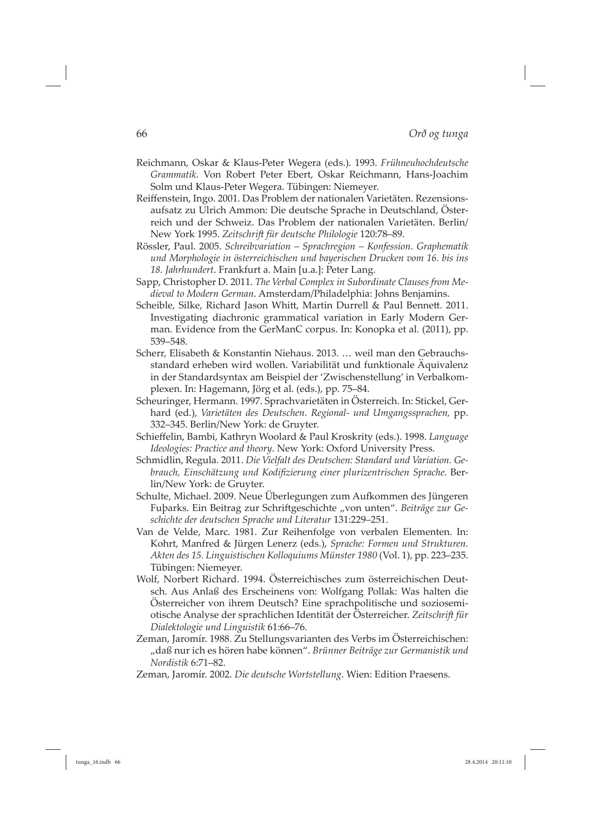- Reichmann, Oskar & Klaus-Peter Wegera (eds.). 1993. *Frühneuhochdeutsche Grammatik*. Von Robert Peter Ebert, Oskar Reichmann, Hans-Joachim Solm und Klaus-Peter Wegera. Tübingen: Niemeyer.
- Reiffenstein, Ingo. 2001. Das Problem der nationalen Varietäten. Rezensionsaufsatz zu Ulrich Ammon: Die deutsche Sprache in Deutschland, Österreich und der Schweiz. Das Problem der nationalen Varietäten. Berlin/ New York 1995. *Zeitschrift für deutsche Philologie* 120:78–89.
- Rössler, Paul. 2005. *Schreibvariation Sprachregion Konfession. Graphematik und Morphologie in österreichischen und bayerischen Drucken vom 16. bis ins 18. Jahrhundert*. Frankfurt a. Main [u.a.]: Peter Lang.
- Sapp, Christopher D. 2011. *The Verbal Complex in Subordinate Clauses from Medieval to Modern German*. Amsterdam/Philadelphia: Johns Benjamins.
- Scheible, Silke, Richard Jason Whitt, Martin Durrell & Paul Bennett. 2011. Investigating diachronic grammatical variation in Early Modern German. Evidence from the GerManC corpus. In: Konopka et al. (2011), pp. 539–548.
- Scherr, Elisabeth & Konstantin Niehaus. 2013. … weil man den Gebrauchsstandard erheben wird wollen. Variabilität und funktionale Äquivalenz in der Standardsyntax am Beispiel der 'Zwischenstellung' in Verbalkomplexen. In: Hagemann, Jörg et al. (eds.), pp. 75–84.
- Scheuringer, Hermann. 1997. Sprachvarietäten in Österreich. In: Stickel, Gerhard (ed.), *Varietäten des Deutschen. Regional- und Umgangssprachen,* pp. 332–345. Berlin/New York: de Gruyter.
- Schieff elin, Bambi, Kathryn Woolard & Paul Kroskrity (eds.). 1998. *Language Ideologies: Practice and theory*. New York: Oxford University Press.
- Schmidlin, Regula. 2011. *Die Vielfalt des Deutschen: Standard und Variation. Gebrauch, Einschätzung und Kodifi zierung einer plurizentrischen Sprache.* Berlin/New York: de Gruyter.
- Schulte, Michael. 2009. Neue Überlegungen zum Aufkommen des Jüngeren Fuþarks. Ein Beitrag zur Schriftgeschichte "von unten". Beiträge zur Ge*schichte der deutschen Sprache und Literatur* 131:229–251.
- Van de Velde, Marc. 1981. Zur Reihenfolge von verbalen Elementen. In: Kohrt, Manfred & Jürgen Lenerz (eds.), *Sprache: Formen und Strukturen. Akten des 15. Linguistischen Kolloquiums Münster 1980* (Vol. 1), pp. 223–235. Tübingen: Niemeyer.
- Wolf, Norbert Richard. 1994. Österreichisches zum österreichischen Deutsch. Aus Anlaß des Erscheinens von: Wolfgang Pollak: Was halten die Österreicher von ihrem Deutsch? Eine sprachpolitische und soziosemiotische Analyse der sprachlichen Identität der Österreicher. *Zeitschrift für Dialektologie und Linguistik* 61:66–76.
- Zeman, Jaromír. 1988. Zu Stellungsvarianten des Verbs im Österreichischen: "daß nur ich es hören habe können". *Brünner Beiträge zur Germanistik und Nordistik* 6:71–82.
- Zeman, Jaromír. 2002. *Die deutsche Wortstellung*. Wien: Edition Praesens.